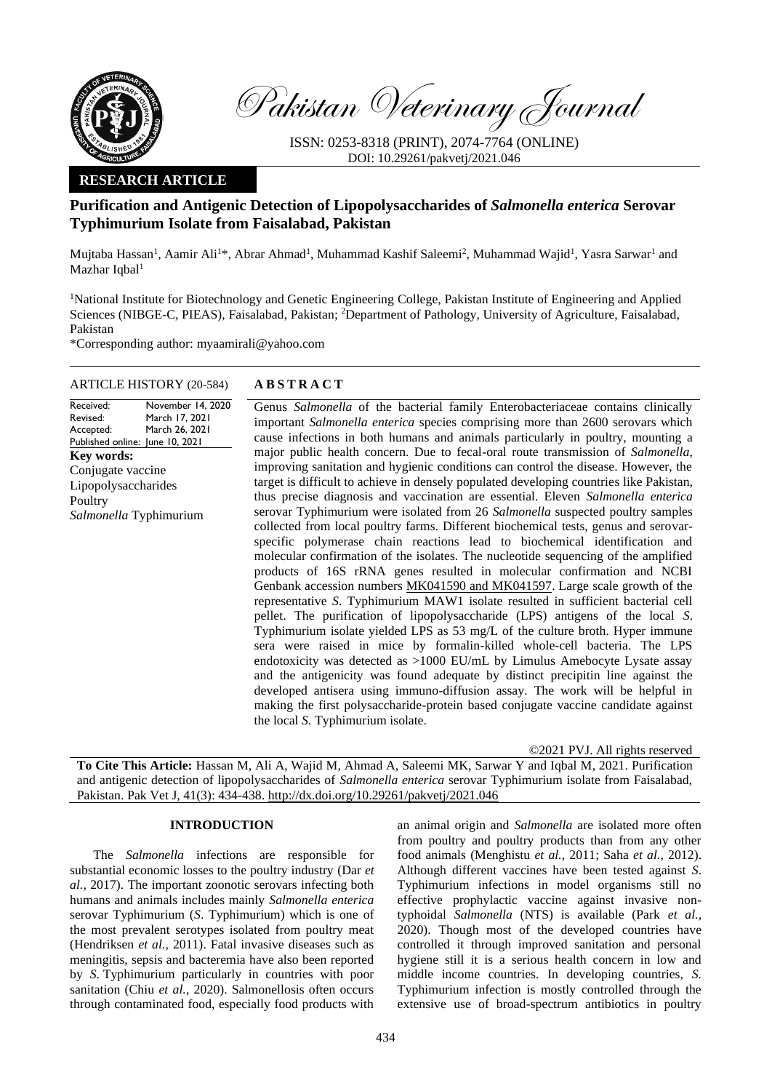

Pakistan Veterinary Journal

ISSN: 0253-8318 (PRINT), 2074-7764 (ONLINE) DOI: 10.29261/pakvetj/2021.046

## **RESEARCH ARTICLE**

# **Purification and Antigenic Detection of Lipopolysaccharides of** *Salmonella enterica* **Serovar Typhimurium Isolate from Faisalabad, Pakistan**

Mujtaba Hassan<sup>1</sup>, Aamir Ali<sup>1\*</sup>, Abrar Ahmad<sup>1</sup>, Muhammad Kashif Saleemi<sup>2</sup>, Muhammad Wajid<sup>1</sup>, Yasra Sarwar<sup>1</sup> and Mazhar Iqbal<sup>1</sup>

<sup>1</sup>National Institute for Biotechnology and Genetic Engineering College, Pakistan Institute of Engineering and Applied Sciences (NIBGE-C, PIEAS), Faisalabad, Pakistan; <sup>2</sup>Department of Pathology, University of Agriculture, Faisalabad, Pakistan

\*Corresponding author: myaamirali@yahoo.com

## ARTICLE HISTORY (20-584) **A B S T R A C T**

Received: Revised: Accepted: Published online: June 10, 2021 November 14, 2020 March 17, 2021 March 26, 2021 **Key words:**  Conjugate vaccine Lipopolysaccharides Poultry *Salmonella* Typhimurium

Genus *Salmonella* of the bacterial family Enterobacteriaceae contains clinically important *Salmonella enterica* species comprising more than 2600 serovars which cause infections in both humans and animals particularly in poultry, mounting a major public health concern. Due to fecal-oral route transmission of *Salmonella*, improving sanitation and hygienic conditions can control the disease. However, the target is difficult to achieve in densely populated developing countries like Pakistan, thus precise diagnosis and vaccination are essential. Eleven *Salmonella enterica* serovar Typhimurium were isolated from 26 *Salmonella* suspected poultry samples collected from local poultry farms. Different biochemical tests, genus and serovarspecific polymerase chain reactions lead to biochemical identification and molecular confirmation of the isolates. The nucleotide sequencing of the amplified products of 16S rRNA genes resulted in molecular confirmation and NCBI Genbank accession numbers MK041590 and MK041597. Large scale growth of the representative *S*. Typhimurium MAW1 isolate resulted in sufficient bacterial cell pellet. The purification of lipopolysaccharide (LPS) antigens of the local *S*. Typhimurium isolate yielded LPS as 53 mg/L of the culture broth. Hyper immune sera were raised in mice by formalin-killed whole-cell bacteria. The LPS endotoxicity was detected as >1000 EU/mL by Limulus Amebocyte Lysate assay and the antigenicity was found adequate by distinct precipitin line against the developed antisera using immuno-diffusion assay. The work will be helpful in making the first polysaccharide-protein based conjugate vaccine candidate against the local *S.* Typhimurium isolate.

©2021 PVJ. All rights reserved

**To Cite This Article:** Hassan M, Ali A, Wajid M, Ahmad A, Saleemi MK, Sarwar Y and Iqbal M, 2021. Purification and antigenic detection of lipopolysaccharides of *Salmonella enterica* serovar Typhimurium isolate from Faisalabad, Pakistan. Pak Vet J, 41(3): 434-438. [http://dx.doi.org/10.29261/pakvetj/2021.046](http://pvj.com.pk/in_press/20-584.pdf)

#### **INTRODUCTION**

The *Salmonella* infections are responsible for substantial economic losses to the poultry industry (Dar *et al.*, 2017). The important zoonotic serovars infecting both humans and animals includes mainly *Salmonella enterica* serovar Typhimurium (*S*. Typhimurium) which is one of the most prevalent serotypes isolated from poultry meat (Hendriksen *et al.*, 2011). Fatal invasive diseases such as meningitis, sepsis and bacteremia have also been reported by *S.* Typhimurium particularly in countries with poor sanitation (Chiu *et al.,* 2020). Salmonellosis often occurs through contaminated food, especially food products with

an animal origin and *Salmonella* are isolated more often from poultry and poultry products than from any other food animals (Menghistu *et al.*, 2011; Saha *et al.*, 2012). Although different vaccines have been tested against *S*. Typhimurium infections in model organisms still no effective prophylactic vaccine against invasive nontyphoidal *Salmonella* (NTS) is available (Park *et al.,* 2020). Though most of the developed countries have controlled it through improved sanitation and personal hygiene still it is a serious health concern in low and middle income countries. In developing countries, *S.*  Typhimurium infection is mostly controlled through the extensive use of broad-spectrum antibiotics in poultry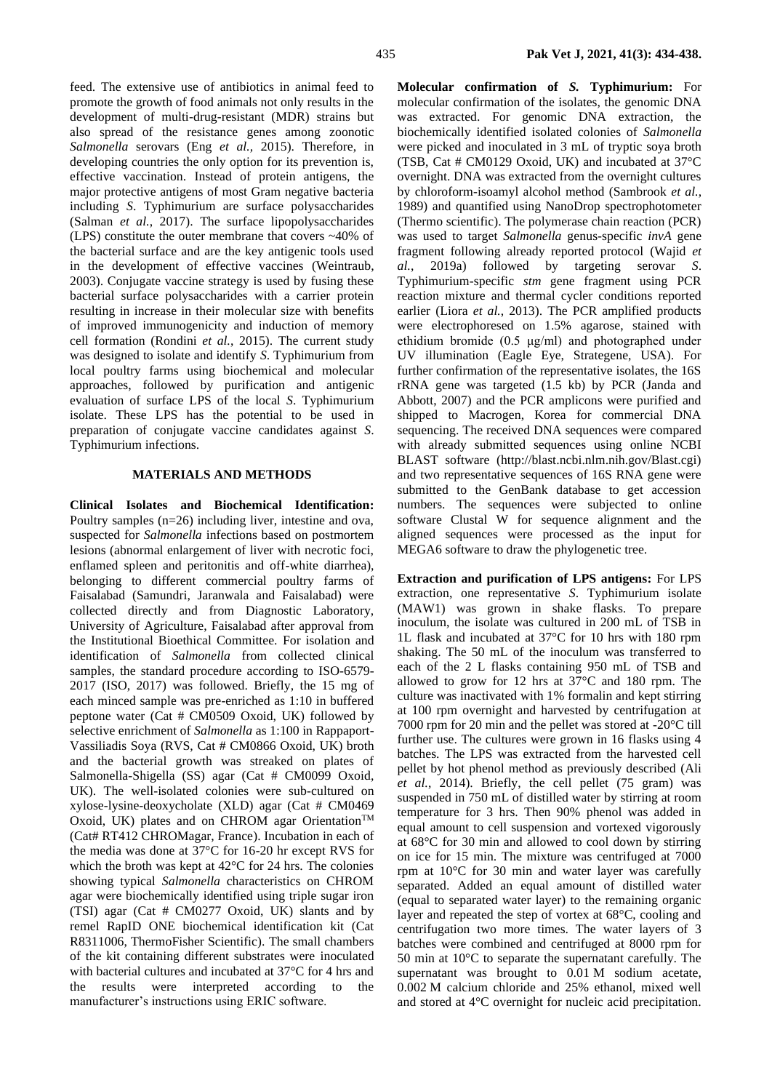feed. The extensive use of antibiotics in animal feed to promote the growth of food animals not only results in the development of multi-drug-resistant (MDR) strains but also spread of the resistance genes among zoonotic *Salmonella* serovars (Eng *et al.,* 2015). Therefore, in developing countries the only option for its prevention is, effective vaccination. Instead of protein antigens, the major protective antigens of most Gram negative bacteria including *S*. Typhimurium are surface polysaccharides (Salman *et al.*, 2017). The surface lipopolysaccharides (LPS) constitute the outer membrane that covers ~40% of the bacterial surface and are the key antigenic tools used in the development of effective vaccines (Weintraub, 2003). Conjugate vaccine strategy is used by fusing these bacterial surface polysaccharides with a carrier protein resulting in increase in their molecular size with benefits of improved immunogenicity and induction of memory cell formation (Rondini *et al.*, 2015). The current study was designed to isolate and identify *S*. Typhimurium from local poultry farms using biochemical and molecular approaches, followed by purification and antigenic evaluation of surface LPS of the local *S*. Typhimurium isolate. These LPS has the potential to be used in preparation of conjugate vaccine candidates against *S*. Typhimurium infections.

### **MATERIALS AND METHODS**

**Clinical Isolates and Biochemical Identification:**  Poultry samples (n=26) including liver, intestine and ova, suspected for *Salmonella* infections based on postmortem lesions (abnormal enlargement of liver with necrotic foci, enflamed spleen and peritonitis and off-white diarrhea), belonging to different commercial poultry farms of Faisalabad (Samundri, Jaranwala and Faisalabad) were collected directly and from Diagnostic Laboratory, University of Agriculture, Faisalabad after approval from the Institutional Bioethical Committee. For isolation and identification of *Salmonella* from collected clinical samples, the standard procedure according to ISO-6579- 2017 (ISO, 2017) was followed. Briefly, the 15 mg of each minced sample was pre-enriched as 1:10 in buffered peptone water (Cat # CM0509 Oxoid, UK) followed by selective enrichment of *Salmonella* as 1:100 in Rappaport-Vassiliadis Soya (RVS, Cat # CM0866 Oxoid, UK) broth and the bacterial growth was streaked on plates of Salmonella-Shigella (SS) agar (Cat # CM0099 Oxoid, UK). The well-isolated colonies were sub-cultured on xylose-lysine-deoxycholate (XLD) agar (Cat # CM0469 Oxoid, UK) plates and on CHROM agar Orientation™ (Cat# RT412 CHROMagar, France). Incubation in each of the media was done at 37°C for 16-20 hr except RVS for which the broth was kept at 42°C for 24 hrs. The colonies showing typical *Salmonella* characteristics on CHROM agar were biochemically identified using triple sugar iron (TSI) agar (Cat # CM0277 Oxoid, UK) slants and by remel RapID ONE biochemical identification kit (Cat R8311006, ThermoFisher Scientific). The small chambers of the kit containing different substrates were inoculated with bacterial cultures and incubated at 37°C for 4 hrs and the results were interpreted according to the manufacturer's instructions using ERIC software.

**Molecular confirmation of** *S.* **Typhimurium:** For molecular confirmation of the isolates, the genomic DNA was extracted. For genomic DNA extraction, the biochemically identified isolated colonies of *Salmonella* were picked and inoculated in 3 mL of tryptic soya broth (TSB, Cat # CM0129 Oxoid, UK) and incubated at 37°C overnight. DNA was extracted from the overnight cultures by chloroform-isoamyl alcohol method (Sambrook *et al.*, 1989) and quantified using NanoDrop spectrophotometer (Thermo scientific). The polymerase chain reaction (PCR) was used to target *Salmonella* genus-specific *invA* gene fragment following already reported protocol (Wajid *et al.*, 2019a) followed by targeting serovar *S*. Typhimurium-specific *stm* gene fragment using PCR reaction mixture and thermal cycler conditions reported earlier (Liora *et al.*, 2013). The PCR amplified products were electrophoresed on 1.5% agarose, stained with ethidium bromide (0.5 μg/ml) and photographed under UV illumination (Eagle Eye, Strategene, USA). For further confirmation of the representative isolates, the 16S rRNA gene was targeted (1.5 kb) by PCR (Janda and Abbott, 2007) and the PCR amplicons were purified and shipped to Macrogen, Korea for commercial DNA sequencing. The received DNA sequences were compared with already submitted sequences using online NCBI BLAST software (http://blast.ncbi.nlm.nih.gov/Blast.cgi) and two representative sequences of 16S RNA gene were submitted to the GenBank database to get accession numbers. The sequences were subjected to online software Clustal W for sequence alignment and the aligned sequences were processed as the input for MEGA6 software to draw the phylogenetic tree.

**Extraction and purification of LPS antigens:** For LPS extraction, one representative *S*. Typhimurium isolate (MAW1) was grown in shake flasks. To prepare inoculum, the isolate was cultured in 200 mL of TSB in 1L flask and incubated at 37°C for 10 hrs with 180 rpm shaking. The 50 mL of the inoculum was transferred to each of the 2 L flasks containing 950 mL of TSB and allowed to grow for 12 hrs at 37°C and 180 rpm. The culture was inactivated with 1% formalin and kept stirring at 100 rpm overnight and harvested by centrifugation at 7000 rpm for 20 min and the pellet was stored at -20°C till further use. The cultures were grown in 16 flasks using 4 batches. The LPS was extracted from the harvested cell pellet by hot phenol method as previously described (Ali *et al.*, 2014). Briefly, the cell pellet (75 gram) was suspended in 750 mL of distilled water by stirring at room temperature for 3 hrs. Then 90% phenol was added in equal amount to cell suspension and vortexed vigorously at 68°C for 30 min and allowed to cool down by stirring on ice for 15 min. The mixture was centrifuged at 7000 rpm at 10°C for 30 min and water layer was carefully separated. Added an equal amount of distilled water (equal to separated water layer) to the remaining organic layer and repeated the step of vortex at 68°C, cooling and centrifugation two more times. The water layers of 3 batches were combined and centrifuged at 8000 rpm for 50 min at 10°C to separate the supernatant carefully. The supernatant was brought to 0.01 M sodium acetate, 0.002 M calcium chloride and 25% ethanol, mixed well and stored at 4°C overnight for nucleic acid precipitation.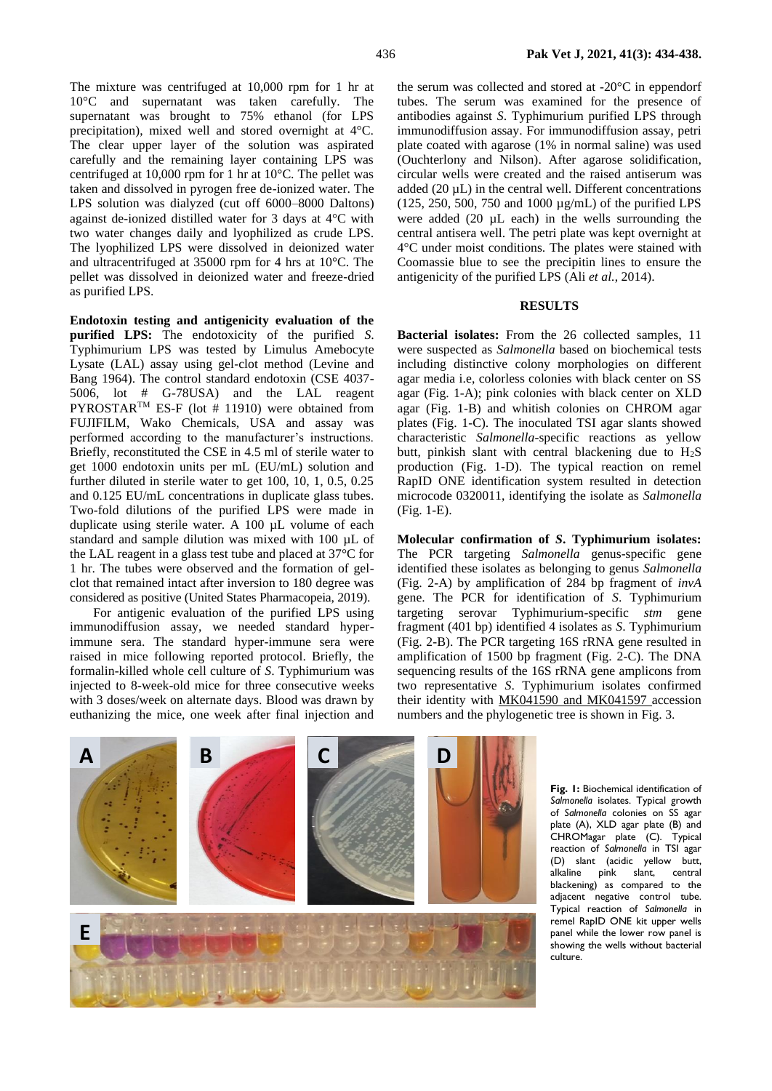The mixture was centrifuged at 10,000 rpm for 1 hr at 10°C and supernatant was taken carefully. The supernatant was brought to 75% ethanol (for LPS precipitation), mixed well and stored overnight at 4°C. The clear upper layer of the solution was aspirated carefully and the remaining layer containing LPS was centrifuged at 10,000 rpm for 1 hr at 10°C. The pellet was taken and dissolved in pyrogen free de-ionized water. The LPS solution was dialyzed (cut off 6000–8000 Daltons) against de-ionized distilled water for 3 days at 4°C with two water changes daily and lyophilized as crude LPS. The lyophilized LPS were dissolved in deionized water and ultracentrifuged at 35000 rpm for 4 hrs at 10°C. The pellet was dissolved in deionized water and freeze-dried as purified LPS.

**Endotoxin testing and antigenicity evaluation of the purified LPS:** The endotoxicity of the purified *S*. Typhimurium LPS was tested by Limulus Amebocyte Lysate (LAL) assay using gel-clot method (Levine and Bang 1964). The control standard endotoxin (CSE 4037- 5006, lot # G-78USA) and the LAL reagent PYROSTAR<sup>™</sup> ES-F (lot # 11910) were obtained from FUJIFILM, Wako Chemicals, USA and assay was performed according to the manufacturer's instructions. Briefly, reconstituted the CSE in 4.5 ml of sterile water to get 1000 endotoxin units per mL (EU/mL) solution and further diluted in sterile water to get 100, 10, 1, 0.5, 0.25 and 0.125 EU/mL concentrations in duplicate glass tubes. Two-fold dilutions of the purified LPS were made in duplicate using sterile water. A 100 µL volume of each standard and sample dilution was mixed with 100 µL of the LAL reagent in a glass test tube and placed at 37°C for 1 hr. The tubes were observed and the formation of gelclot that remained intact after inversion to 180 degree was considered as positive (United States Pharmacopeia, 2019).

For antigenic evaluation of the purified LPS using immunodiffusion assay, we needed standard hyperimmune sera. The standard hyper-immune sera were raised in mice following reported protocol. Briefly, the formalin-killed whole cell culture of *S*. Typhimurium was injected to 8-week-old mice for three consecutive weeks with 3 doses/week on alternate days. Blood was drawn by euthanizing the mice, one week after final injection and the serum was collected and stored at -20°C in eppendorf tubes. The serum was examined for the presence of antibodies against *S*. Typhimurium purified LPS through immunodiffusion assay. For immunodiffusion assay, petri plate coated with agarose (1% in normal saline) was used (Ouchterlony and Nilson). After agarose solidification, circular wells were created and the raised antiserum was added (20 µL) in the central well. Different concentrations (125, 250, 500, 750 and 1000 µg/mL) of the purified LPS were added (20 µL each) in the wells surrounding the central antisera well. The petri plate was kept overnight at 4°C under moist conditions. The plates were stained with Coomassie blue to see the precipitin lines to ensure the antigenicity of the purified LPS (Ali *et al.*, 2014).

### **RESULTS**

**Bacterial isolates:** From the 26 collected samples, 11 were suspected as *Salmonella* based on biochemical tests including distinctive colony morphologies on different agar media i.e, colorless colonies with black center on SS agar (Fig. 1-A); pink colonies with black center on XLD agar (Fig. 1-B) and whitish colonies on CHROM agar plates (Fig. 1-C). The inoculated TSI agar slants showed characteristic *Salmonella*-specific reactions as yellow butt, pinkish slant with central blackening due to  $H_2S$ production (Fig. 1-D). The typical reaction on remel RapID ONE identification system resulted in detection microcode 0320011, identifying the isolate as *Salmonella* (Fig. 1-E).

**Molecular confirmation of** *S***. Typhimurium isolates:**  The PCR targeting *Salmonella* genus-specific gene identified these isolates as belonging to genus *Salmonella* (Fig. 2-A) by amplification of 284 bp fragment of *invA* gene. The PCR for identification of *S*. Typhimurium targeting serovar Typhimurium-specific *stm* gene fragment (401 bp) identified 4 isolates as *S*. Typhimurium (Fig. 2-B). The PCR targeting 16S rRNA gene resulted in amplification of 1500 bp fragment (Fig. 2-C). The DNA sequencing results of the 16S rRNA gene amplicons from two representative *S*. Typhimurium isolates confirmed their identity with MK041590 and MK041597 accession numbers and the phylogenetic tree is shown in Fig. 3.



**Fig. 1:** Biochemical identification of *Salmonella* isolates. Typical growth of *Salmonella* colonies on SS agar plate (A), XLD agar plate (B) and CHROMagar plate (C). Typical reaction of *Salmonella* in TSI agar (D) slant (acidic yellow butt, alkaline pink slant, central blackening) as compared to the adjacent negative control tube. Typical reaction of *Salmonella* in remel RapID ONE kit upper wells panel while the lower row panel is showing the wells without bacterial culture.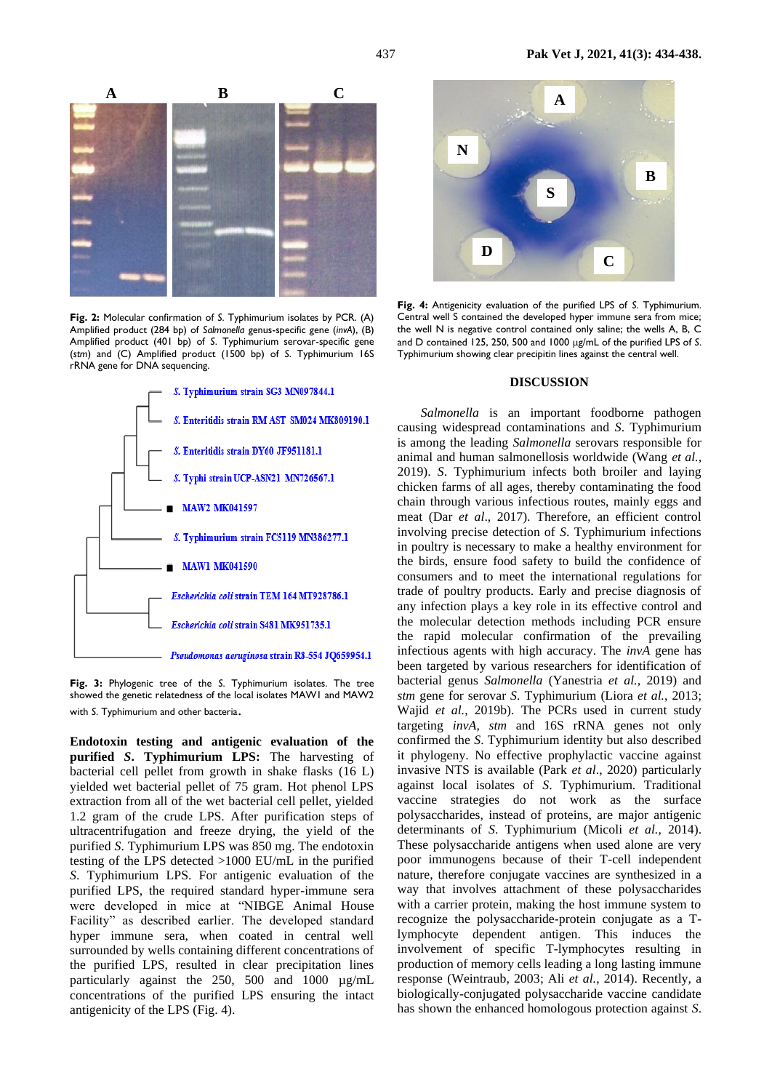

**Fig. 2:** Molecular confirmation of *S*. Typhimurium isolates by PCR. (A) Amplified product (284 bp) of *Salmonella* genus-specific gene (*invA*), (B) Amplified product (401 bp) of *S*. Typhimurium serovar-specific gene (*stm*) and (C) Amplified product (1500 bp) of *S*. Typhimurium 16S rRNA gene for DNA sequencing.



**Fig. 3:** Phylogenic tree of the *S*. Typhimurium isolates. The tree showed the genetic relatedness of the local isolates MAW1 and MAW2 with *S*. Typhimurium and other bacteria.

**Endotoxin testing and antigenic evaluation of the purified** *S***. Typhimurium LPS:** The harvesting of bacterial cell pellet from growth in shake flasks (16 L) yielded wet bacterial pellet of 75 gram. Hot phenol LPS extraction from all of the wet bacterial cell pellet, yielded 1.2 gram of the crude LPS. After purification steps of ultracentrifugation and freeze drying, the yield of the purified *S*. Typhimurium LPS was 850 mg. The endotoxin testing of the LPS detected >1000 EU/mL in the purified *S*. Typhimurium LPS. For antigenic evaluation of the purified LPS, the required standard hyper-immune sera were developed in mice at "NIBGE Animal House Facility" as described earlier. The developed standard hyper immune sera, when coated in central well surrounded by wells containing different concentrations of the purified LPS, resulted in clear precipitation lines particularly against the 250, 500 and 1000 µg/mL concentrations of the purified LPS ensuring the intact antigenicity of the LPS (Fig. 4).



**Fig. 4:** Antigenicity evaluation of the purified LPS of *S*. Typhimurium. Central well S contained the developed hyper immune sera from mice; the well N is negative control contained only saline; the wells A, B, C and D contained 125, 250, 500 and 1000  $\mu$ g/mL of the purified LPS of *S*. Typhimurium showing clear precipitin lines against the central well.

#### **DISCUSSION**

*Salmonella* is an important foodborne pathogen causing widespread contaminations and *S*. Typhimurium is among the leading *Salmonella* serovars responsible for animal and human salmonellosis worldwide (Wang *et al.,* 2019). *S*. Typhimurium infects both broiler and laying chicken farms of all ages, thereby contaminating the food chain through various infectious routes, mainly eggs and meat (Dar *et al*., 2017). Therefore, an efficient control involving precise detection of *S*. Typhimurium infections in poultry is necessary to make a healthy environment for the birds, ensure food safety to build the confidence of consumers and to meet the international regulations for trade of poultry products. Early and precise diagnosis of any infection plays a key role in its effective control and the molecular detection methods including PCR ensure the rapid molecular confirmation of the prevailing infectious agents with high accuracy. The *invA* gene has been targeted by various researchers for identification of bacterial genus *Salmonella* (Yanestria *et al.,* 2019) and *stm* gene for serovar *S*. Typhimurium (Liora *et al.*, 2013; Wajid *et al.*, 2019b). The PCRs used in current study targeting *invA*, *stm* and 16S rRNA genes not only confirmed the *S*. Typhimurium identity but also described it phylogeny. No effective prophylactic vaccine against invasive NTS is available (Park *et al*., 2020) particularly against local isolates of *S*. Typhimurium. Traditional vaccine strategies do not work as the surface polysaccharides, instead of proteins, are major antigenic determinants of *S*. Typhimurium (Micoli *et al.*, 2014). These polysaccharide antigens when used alone are very poor immunogens because of their T-cell independent nature, therefore conjugate vaccines are synthesized in a way that involves attachment of these polysaccharides with a carrier protein, making the host immune system to recognize the polysaccharide-protein conjugate as a Tlymphocyte dependent antigen. This induces the involvement of specific T-lymphocytes resulting in production of memory cells leading a long lasting immune response (Weintraub, 2003; Ali *et al.*, 2014). Recently, a biologically-conjugated polysaccharide vaccine candidate has shown the enhanced homologous protection against *S*.